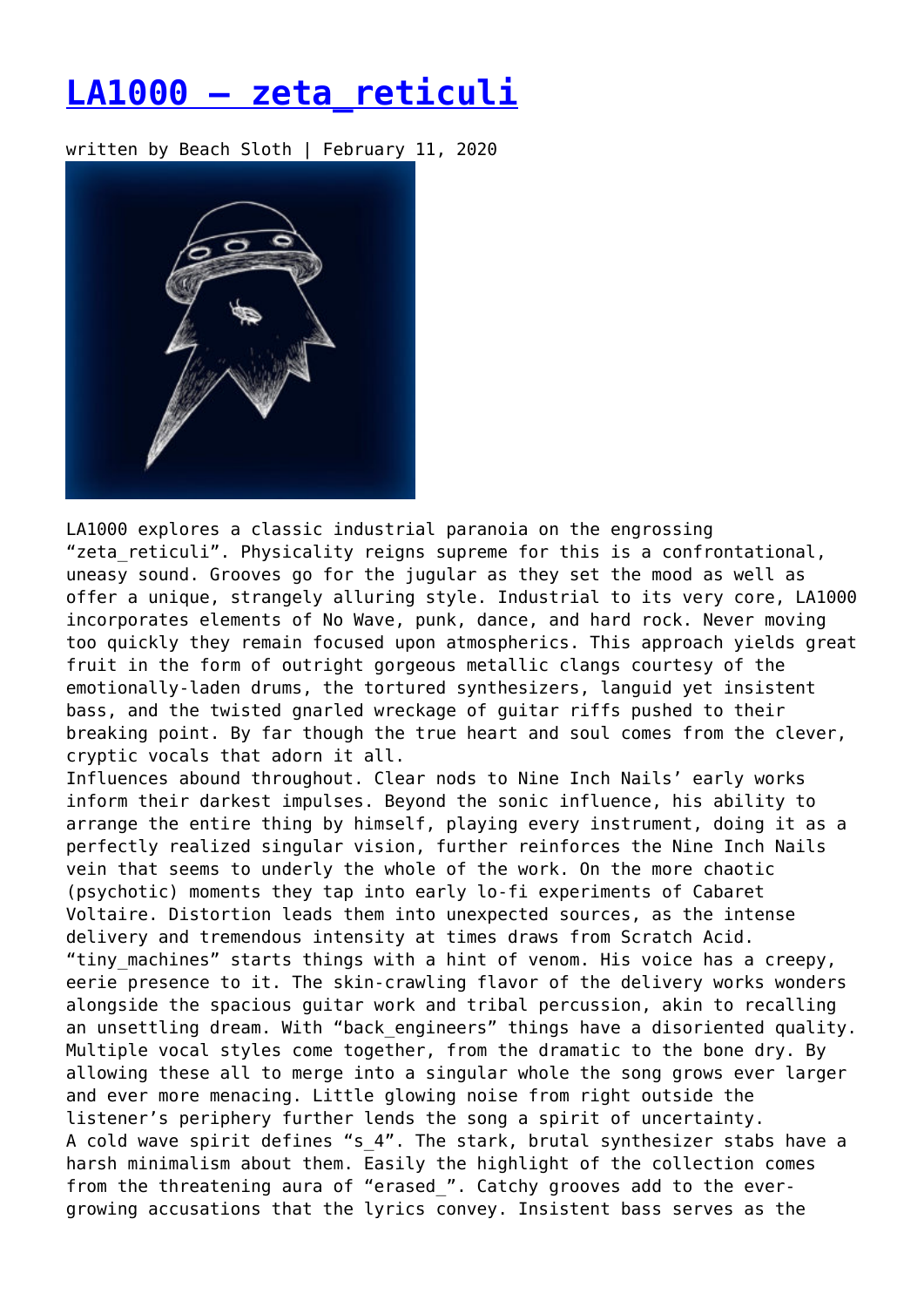## **[LA1000 – zeta\\_reticuli](https://entropymag.org/la1000-zeta_reticuli/)**

written by Beach Sloth | February 11, 2020



LA1000 explores a classic industrial paranoia on the engrossing "zeta reticuli". Physicality reigns supreme for this is a confrontational, uneasy sound. Grooves go for the jugular as they set the mood as well as offer a unique, strangely alluring style. Industrial to its very core, LA1000 incorporates elements of No Wave, punk, dance, and hard rock. Never moving too quickly they remain focused upon atmospherics. This approach yields great fruit in the form of outright gorgeous metallic clangs courtesy of the emotionally-laden drums, the tortured synthesizers, languid yet insistent bass, and the twisted gnarled wreckage of guitar riffs pushed to their breaking point. By far though the true heart and soul comes from the clever, cryptic vocals that adorn it all.

Influences abound throughout. Clear nods to Nine Inch Nails' early works inform their darkest impulses. Beyond the sonic influence, his ability to arrange the entire thing by himself, playing every instrument, doing it as a perfectly realized singular vision, further reinforces the Nine Inch Nails vein that seems to underly the whole of the work. On the more chaotic (psychotic) moments they tap into early lo-fi experiments of Cabaret Voltaire. Distortion leads them into unexpected sources, as the intense delivery and tremendous intensity at times draws from Scratch Acid. "tiny machines" starts things with a hint of venom. His voice has a creepy, eerie presence to it. The skin-crawling flavor of the delivery works wonders alongside the spacious guitar work and tribal percussion, akin to recalling an unsettling dream. With "back engineers" things have a disoriented quality. Multiple vocal styles come together, from the dramatic to the bone dry. By allowing these all to merge into a singular whole the song grows ever larger and ever more menacing. Little glowing noise from right outside the listener's periphery further lends the song a spirit of uncertainty. A cold wave spirit defines "s\_4". The stark, brutal synthesizer stabs have a harsh minimalism about them. Easily the highlight of the collection comes from the threatening aura of "erased\_". Catchy grooves add to the evergrowing accusations that the lyrics convey. Insistent bass serves as the